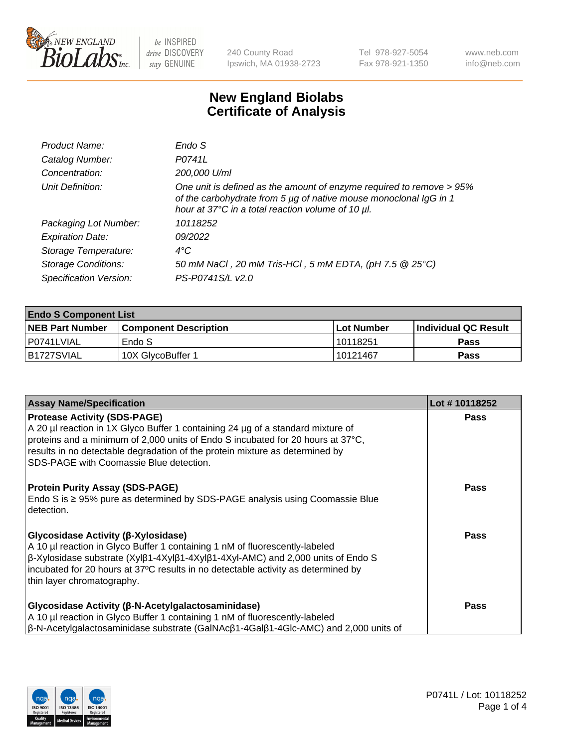

240 County Road Ipswich, MA 01938-2723 Tel 978-927-5054 Fax 978-921-1350 www.neb.com info@neb.com

## **New England Biolabs Certificate of Analysis**

| Product Name:              | Endo S                                                                                                                                                                                         |
|----------------------------|------------------------------------------------------------------------------------------------------------------------------------------------------------------------------------------------|
| Catalog Number:            | P0741L                                                                                                                                                                                         |
| Concentration:             | 200,000 U/ml                                                                                                                                                                                   |
| Unit Definition:           | One unit is defined as the amount of enzyme required to remove > 95%<br>of the carbohydrate from 5 µg of native mouse monoclonal IgG in 1<br>hour at 37°C in a total reaction volume of 10 µl. |
| Packaging Lot Number:      | 10118252                                                                                                                                                                                       |
| <b>Expiration Date:</b>    | 09/2022                                                                                                                                                                                        |
| Storage Temperature:       | $4^{\circ}$ C                                                                                                                                                                                  |
| <b>Storage Conditions:</b> | 50 mM NaCl, 20 mM Tris-HCl, 5 mM EDTA, (pH 7.5 @ 25°C)                                                                                                                                         |
| Specification Version:     | PS-P0741S/L v2.0                                                                                                                                                                               |
|                            |                                                                                                                                                                                                |

| <b>Endo S Component List</b> |                              |                   |                       |  |  |
|------------------------------|------------------------------|-------------------|-----------------------|--|--|
| <b>NEB Part Number</b>       | <b>Component Description</b> | <b>Lot Number</b> | ∣Individual QC Result |  |  |
| l P0741LVIAL                 | Endo S                       | l 10118251        | <b>Pass</b>           |  |  |
| IB1727SVIAL                  | 10X GlycoBuffer 1            | 10121467          | <b>Pass</b>           |  |  |

| <b>Assay Name/Specification</b>                                                                                                                                                                                                                                                                                                                             | Lot #10118252 |
|-------------------------------------------------------------------------------------------------------------------------------------------------------------------------------------------------------------------------------------------------------------------------------------------------------------------------------------------------------------|---------------|
| <b>Protease Activity (SDS-PAGE)</b><br>A 20 µl reaction in 1X Glyco Buffer 1 containing 24 µg of a standard mixture of<br>proteins and a minimum of 2,000 units of Endo S incubated for 20 hours at 37 $\rm{^{\circ}C}$ ,<br>results in no detectable degradation of the protein mixture as determined by<br><b>SDS-PAGE with Coomassie Blue detection.</b> | <b>Pass</b>   |
| <b>Protein Purity Assay (SDS-PAGE)</b><br>Endo S is ≥ 95% pure as determined by SDS-PAGE analysis using Coomassie Blue<br>detection.                                                                                                                                                                                                                        | Pass          |
| Glycosidase Activity (β-Xylosidase)<br>A 10 µl reaction in Glyco Buffer 1 containing 1 nM of fluorescently-labeled<br>$\beta$ -Xylosidase substrate (Xylβ1-4Xylβ1-4Xylβ1-4Xyl-AMC) and 2,000 units of Endo S<br>incubated for 20 hours at 37°C results in no detectable activity as determined by<br>thin layer chromatography.                             | Pass          |
| Glycosidase Activity (β-N-Acetylgalactosaminidase)<br>A 10 µl reaction in Glyco Buffer 1 containing 1 nM of fluorescently-labeled<br>$\beta$ -N-Acetylgalactosaminidase substrate (GalNAc $\beta$ 1-4Gal $\beta$ 1-4Glc-AMC) and 2,000 units of                                                                                                             | Pass          |

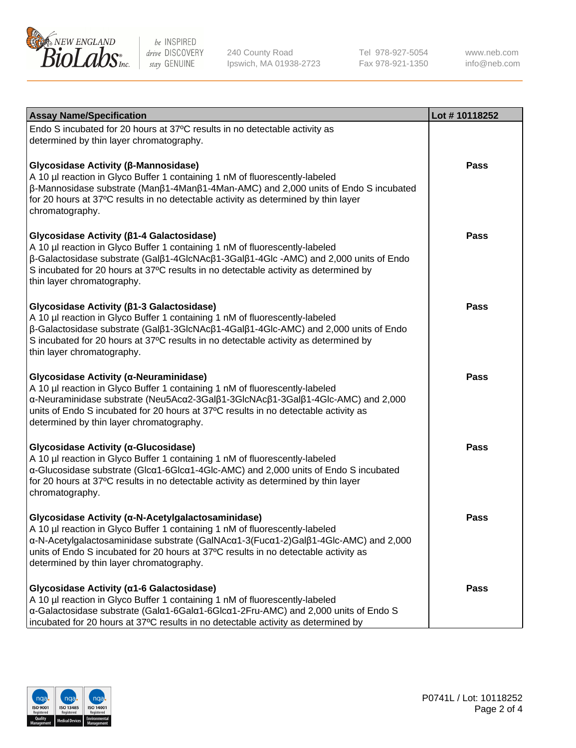

240 County Road Ipswich, MA 01938-2723 Tel 978-927-5054 Fax 978-921-1350

www.neb.com info@neb.com

| <b>Assay Name/Specification</b>                                                                                                                                                                                                                                                                                                                             | Lot #10118252 |
|-------------------------------------------------------------------------------------------------------------------------------------------------------------------------------------------------------------------------------------------------------------------------------------------------------------------------------------------------------------|---------------|
| Endo S incubated for 20 hours at 37°C results in no detectable activity as<br>determined by thin layer chromatography.                                                                                                                                                                                                                                      |               |
| Glycosidase Activity (β-Mannosidase)<br>A 10 µl reaction in Glyco Buffer 1 containing 1 nM of fluorescently-labeled<br>$\beta$ -Mannosidase substrate (Man $\beta$ 1-4Man $\beta$ 1-4Man-AMC) and 2,000 units of Endo S incubated<br>for 20 hours at 37°C results in no detectable activity as determined by thin layer<br>chromatography.                  | Pass          |
| Glycosidase Activity (β1-4 Galactosidase)<br>A 10 µl reaction in Glyco Buffer 1 containing 1 nM of fluorescently-labeled<br>β-Galactosidase substrate (Galβ1-4GlcNAcβ1-3Galβ1-4Glc-AMC) and 2,000 units of Endo<br>S incubated for 20 hours at 37°C results in no detectable activity as determined by<br>thin layer chromatography.                        | <b>Pass</b>   |
| Glycosidase Activity (β1-3 Galactosidase)<br>A 10 µl reaction in Glyco Buffer 1 containing 1 nM of fluorescently-labeled<br>β-Galactosidase substrate (Galβ1-3GlcNAcβ1-4Galβ1-4Glc-AMC) and 2,000 units of Endo<br>S incubated for 20 hours at 37°C results in no detectable activity as determined by<br>thin layer chromatography.                        | <b>Pass</b>   |
| Glycosidase Activity (a-Neuraminidase)<br>A 10 µl reaction in Glyco Buffer 1 containing 1 nM of fluorescently-labeled<br>α-Neuraminidase substrate (Neu5Acα2-3Galβ1-3GlcNAcβ1-3Galβ1-4Glc-AMC) and 2,000<br>units of Endo S incubated for 20 hours at 37°C results in no detectable activity as<br>determined by thin layer chromatography.                 | <b>Pass</b>   |
| Glycosidase Activity (α-Glucosidase)<br>A 10 µl reaction in Glyco Buffer 1 containing 1 nM of fluorescently-labeled<br>α-Glucosidase substrate (Glcα1-6Glcα1-4Glc-AMC) and 2,000 units of Endo S incubated<br>for 20 hours at 37°C results in no detectable activity as determined by thin layer<br>chromatography.                                         | <b>Pass</b>   |
| Glycosidase Activity (α-N-Acetylgalactosaminidase)<br>A 10 µl reaction in Glyco Buffer 1 containing 1 nM of fluorescently-labeled<br>α-N-Acetylgalactosaminidase substrate (GalNAcα1-3(Fucα1-2)Galβ1-4Glc-AMC) and 2,000<br>units of Endo S incubated for 20 hours at 37°C results in no detectable activity as<br>determined by thin layer chromatography. | Pass          |
| Glycosidase Activity (a1-6 Galactosidase)<br>A 10 µl reaction in Glyco Buffer 1 containing 1 nM of fluorescently-labeled<br>α-Galactosidase substrate (Galα1-6Galα1-6Glcα1-2Fru-AMC) and 2,000 units of Endo S<br>incubated for 20 hours at 37°C results in no detectable activity as determined by                                                         | Pass          |

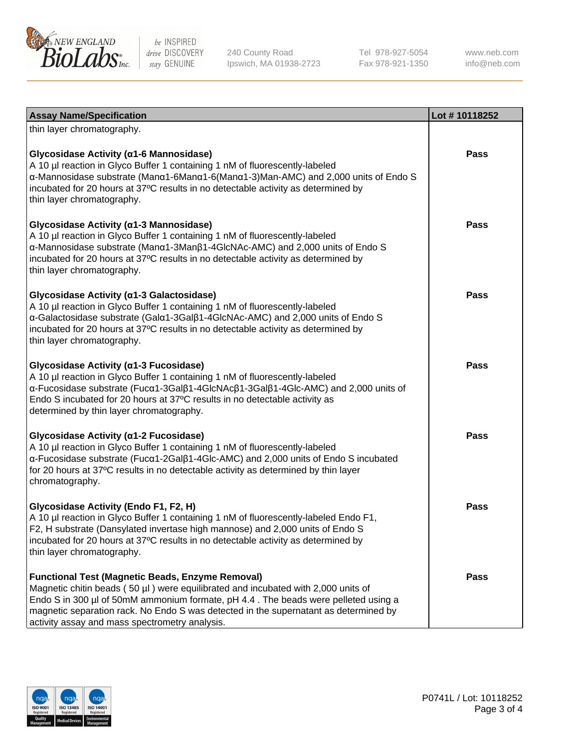

240 County Road Ipswich, MA 01938-2723 Tel 978-927-5054 Fax 978-921-1350 www.neb.com info@neb.com

| <b>Assay Name/Specification</b>                                                                                                                                                                                                                                                                                                                                              | Lot #10118252 |
|------------------------------------------------------------------------------------------------------------------------------------------------------------------------------------------------------------------------------------------------------------------------------------------------------------------------------------------------------------------------------|---------------|
| thin layer chromatography.                                                                                                                                                                                                                                                                                                                                                   |               |
| Glycosidase Activity (α1-6 Mannosidase)<br>A 10 µl reaction in Glyco Buffer 1 containing 1 nM of fluorescently-labeled<br>α-Mannosidase substrate (Μanα1-6Μanα1-6(Μanα1-3)Man-AMC) and 2,000 units of Endo S<br>incubated for 20 hours at 37°C results in no detectable activity as determined by<br>thin layer chromatography.                                              | Pass          |
| Glycosidase Activity (α1-3 Mannosidase)<br>A 10 µl reaction in Glyco Buffer 1 containing 1 nM of fluorescently-labeled<br>α-Mannosidase substrate (Manα1-3Manβ1-4GlcNAc-AMC) and 2,000 units of Endo S<br>incubated for 20 hours at 37°C results in no detectable activity as determined by<br>thin layer chromatography.                                                    | <b>Pass</b>   |
| Glycosidase Activity (α1-3 Galactosidase)<br>A 10 µl reaction in Glyco Buffer 1 containing 1 nM of fluorescently-labeled<br>a-Galactosidase substrate (Gala1-3Galß1-4GlcNAc-AMC) and 2,000 units of Endo S<br>incubated for 20 hours at 37°C results in no detectable activity as determined by<br>thin layer chromatography.                                                | <b>Pass</b>   |
| Glycosidase Activity (α1-3 Fucosidase)<br>A 10 µl reaction in Glyco Buffer 1 containing 1 nM of fluorescently-labeled<br>α-Fucosidase substrate (Fucα1-3Galβ1-4GlcNAcβ1-3Galβ1-4Glc-AMC) and 2,000 units of<br>Endo S incubated for 20 hours at 37°C results in no detectable activity as<br>determined by thin layer chromatography.                                        | Pass          |
| Glycosidase Activity (a1-2 Fucosidase)<br>A 10 µl reaction in Glyco Buffer 1 containing 1 nM of fluorescently-labeled<br>α-Fucosidase substrate (Fucα1-2Galβ1-4Glc-AMC) and 2,000 units of Endo S incubated<br>for 20 hours at 37°C results in no detectable activity as determined by thin layer<br>chromatography.                                                         | <b>Pass</b>   |
| Glycosidase Activity (Endo F1, F2, H)<br>A 10 µl reaction in Glyco Buffer 1 containing 1 nM of fluorescently-labeled Endo F1,<br>F2, H substrate (Dansylated invertase high mannose) and 2,000 units of Endo S<br>incubated for 20 hours at 37°C results in no detectable activity as determined by<br>thin layer chromatography.                                            | Pass          |
| <b>Functional Test (Magnetic Beads, Enzyme Removal)</b><br>Magnetic chitin beads (50 µl) were equilibrated and incubated with 2,000 units of<br>Endo S in 300 µl of 50mM ammonium formate, pH 4.4. The beads were pelleted using a<br>magnetic separation rack. No Endo S was detected in the supernatant as determined by<br>activity assay and mass spectrometry analysis. | Pass          |